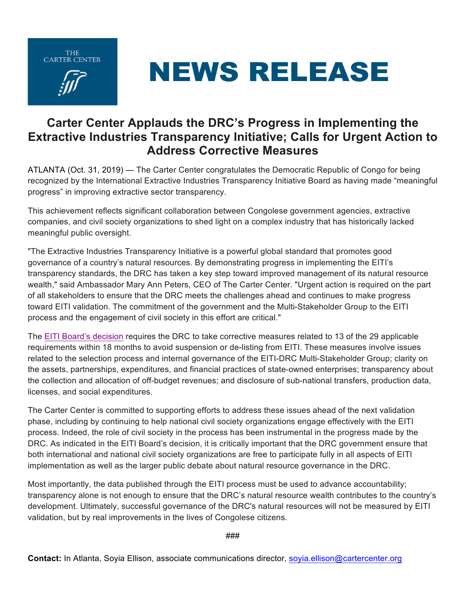THE<br>CARTER CENTER





## **Carter Center Applauds the DRC's Progress in Implementing the Extractive Industries Transparency Initiative; Calls for Urgent Action to Address Corrective Measures**

ATLANTA (Oct. 31, 2019) — The Carter Center congratulates the Democratic Republic of Congo for being recognized by the International Extractive Industries Transparency Initiative Board as having made "meaningful progress" in improving extractive sector transparency.

This achievement reflects significant collaboration between Congolese government agencies, extractive companies, and civil society organizations to shed light on a complex industry that has historically lacked meaningful public oversight.

"The Extractive Industries Transparency Initiative is a powerful global standard that promotes good governance of a country's natural resources. By demonstrating progress in implementing the EITI's transparency standards, the DRC has taken a key step toward improved management of its natural resource wealth," said Ambassador Mary Ann Peters, CEO of The Carter Center. "Urgent action is required on the part of all stakeholders to ensure that the DRC meets the challenges ahead and continues to make progress toward EITI validation. The commitment of the government and the Multi-Stakeholder Group to the EITI process and the engagement of civil society in this effort are critical."

The EITI Board's decision requires the DRC to take corrective measures related to 13 of the 29 applicable requirements within 18 months to avoid suspension or de-listing from EITI. These measures involve issues related to the selection process and internal governance of the EITI-DRC Multi-Stakeholder Group; clarity on the assets, partnerships, expenditures, and financial practices of state-owned enterprises; transparency about the collection and allocation of off-budget revenues; and disclosure of sub-national transfers, production data, licenses, and social expenditures.

The Carter Center is committed to supporting efforts to address these issues ahead of the next validation phase, including by continuing to help national civil society organizations engage effectively with the EITI process. Indeed, the role of civil society in the process has been instrumental in the progress made by the DRC. As indicated in the EITI Board's decision, it is critically important that the DRC government ensure that both international and national civil society organizations are free to participate fully in all aspects of EITI implementation as well as the larger public debate about natural resource governance in the DRC.

Most importantly, the data published through the EITI process must be used to advance accountability; transparency alone is not enough to ensure that the DRC's natural resource wealth contributes to the country's development. Ultimately, successful governance of the DRC's natural resources will not be measured by EITI validation, but by real improvements in the lives of Congolese citizens.

###

**Contact:** In Atlanta, Soyia Ellison, associate communications director, soyia.ellison@cartercenter.org